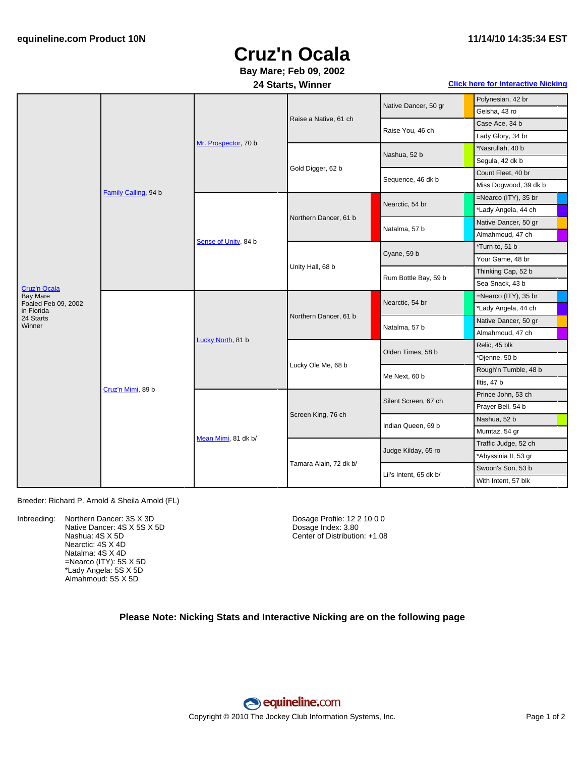#### **11/14/10 14:35:34 EST**

## **Cruz'n Ocala**

### **Bay Mare; Feb 09, 2002**

#### **24 Starts, Winner Click here for [Interactive](#page-1-0) Nicking**

|                                        | Family Calling, 94 b | Mr. Prospector, 70 b | Raise a Native, 61 ch  | Native Dancer, 50 gr   | Polynesian, 42 br       |
|----------------------------------------|----------------------|----------------------|------------------------|------------------------|-------------------------|
|                                        |                      |                      |                        |                        | Geisha, 43 ro           |
|                                        |                      |                      |                        | Raise You, 46 ch       | Case Ace, 34 b          |
|                                        |                      |                      |                        |                        | Lady Glory, 34 br       |
|                                        |                      |                      | Gold Digger, 62 b      | Nashua, 52 b           | *Nasrullah, 40 b        |
|                                        |                      |                      |                        |                        | Segula, 42 dk b         |
|                                        |                      |                      |                        | Sequence, 46 dk b      | Count Fleet, 40 br      |
|                                        |                      |                      |                        |                        | Miss Dogwood, 39 dk b   |
|                                        |                      | Sense of Unity, 84 b | Northern Dancer, 61 b  | Nearctic, 54 br        | $=$ Nearco (ITY), 35 br |
|                                        |                      |                      |                        |                        | *Lady Angela, 44 ch     |
|                                        |                      |                      |                        | Natalma, 57 b          | Native Dancer, 50 gr    |
|                                        |                      |                      |                        |                        | Almahmoud, 47 ch        |
|                                        |                      |                      | Unity Hall, 68 b       | Cyane, 59 b            | *Turn-to, 51 b          |
|                                        |                      |                      |                        |                        | Your Game, 48 br        |
|                                        |                      |                      |                        | Rum Bottle Bay, 59 b   | Thinking Cap, 52 b      |
| <b>Cruz'n Ocala</b>                    |                      |                      |                        |                        | Sea Snack, 43 b         |
| <b>Bay Mare</b><br>Foaled Feb 09, 2002 | Cruz'n Mimi, 89 b    | Lucky North, 81 b    | Northern Dancer, 61 b  | Nearctic, 54 br        | =Nearco (ITY), 35 br    |
| in Florida                             |                      |                      |                        |                        | *Lady Angela, 44 ch     |
| 24 Starts<br>Winner                    |                      |                      |                        | Natalma, 57 b          | Native Dancer, 50 gr    |
|                                        |                      |                      |                        |                        | Almahmoud, 47 ch        |
|                                        |                      |                      | Lucky Ole Me, 68 b     | Olden Times, 58 b      | Relic, 45 blk           |
|                                        |                      |                      |                        |                        | *Djenne, 50 b           |
|                                        |                      |                      |                        | Me Next, 60 b          | Rough'n Tumble, 48 b    |
|                                        |                      |                      |                        |                        | Iltis, 47 b             |
|                                        |                      | Mean Mimi, 81 dk b/  | Screen King, 76 ch     | Silent Screen, 67 ch   | Prince John, 53 ch      |
|                                        |                      |                      |                        |                        | Prayer Bell, 54 b       |
|                                        |                      |                      |                        | Indian Queen, 69 b     | Nashua, 52 b            |
|                                        |                      |                      |                        |                        | Mumtaz, 54 gr           |
|                                        |                      |                      | Tamara Alain, 72 dk b/ | Judge Kilday, 65 ro    | Traffic Judge, 52 ch    |
|                                        |                      |                      |                        |                        | *Abyssinia II, 53 gr    |
|                                        |                      |                      |                        | Lil's Intent, 65 dk b/ | Swoon's Son, 53 b       |
|                                        |                      |                      |                        |                        | With Intent, 57 blk     |

Breeder: Richard P. Arnold & Sheila Arnold (FL)

Inbreeding: Northern Dancer: 3S X 3D Native Dancer: 4S X 5S X 5D Nashua: 4S X 5D Nearctic: 4S X 4D Natalma: 4S X 4D =Nearco (ITY): 5S X 5D \*Lady Angela: 5S X 5D Almahmoud: 5S X 5D

Dosage Profile: 12 2 10 0 0 Dosage Index: 3.80 Center of Distribution: +1.08

**Please Note: Nicking Stats and Interactive Nicking are on the following page**